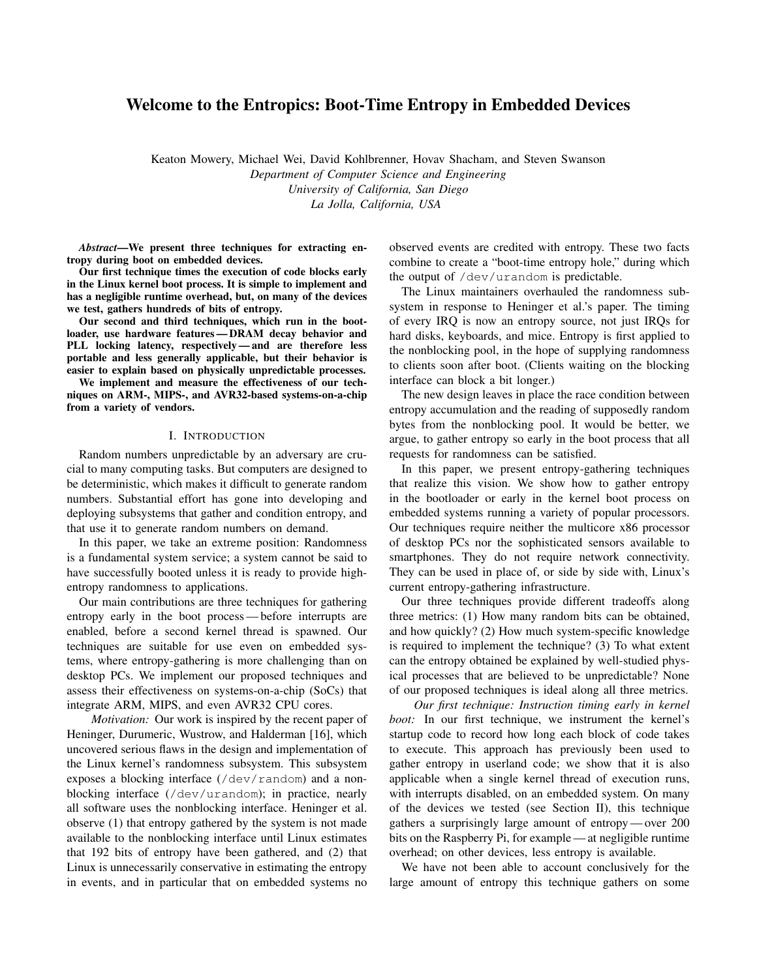# Welcome to the Entropics: Boot-Time Entropy in Embedded Devices

Keaton Mowery, Michael Wei, David Kohlbrenner, Hovav Shacham, and Steven Swanson *Department of Computer Science and Engineering University of California, San Diego La Jolla, California, USA*

*Abstract*—We present three techniques for extracting entropy during boot on embedded devices.

Our first technique times the execution of code blocks early in the Linux kernel boot process. It is simple to implement and has a negligible runtime overhead, but, on many of the devices we test, gathers hundreds of bits of entropy.

Our second and third techniques, which run in the bootloader, use hardware features — DRAM decay behavior and PLL locking latency, respectively— and are therefore less portable and less generally applicable, but their behavior is easier to explain based on physically unpredictable processes.

We implement and measure the effectiveness of our techniques on ARM-, MIPS-, and AVR32-based systems-on-a-chip from a variety of vendors.

### I. INTRODUCTION

Random numbers unpredictable by an adversary are crucial to many computing tasks. But computers are designed to be deterministic, which makes it difficult to generate random numbers. Substantial effort has gone into developing and deploying subsystems that gather and condition entropy, and that use it to generate random numbers on demand.

In this paper, we take an extreme position: Randomness is a fundamental system service; a system cannot be said to have successfully booted unless it is ready to provide highentropy randomness to applications.

Our main contributions are three techniques for gathering entropy early in the boot process — before interrupts are enabled, before a second kernel thread is spawned. Our techniques are suitable for use even on embedded systems, where entropy-gathering is more challenging than on desktop PCs. We implement our proposed techniques and assess their effectiveness on systems-on-a-chip (SoCs) that integrate ARM, MIPS, and even AVR32 CPU cores.

*Motivation:* Our work is inspired by the recent paper of Heninger, Durumeric, Wustrow, and Halderman [\[16\]](#page-14-0), which uncovered serious flaws in the design and implementation of the Linux kernel's randomness subsystem. This subsystem exposes a blocking interface  $//dev/random)$  and a nonblocking interface (/dev/urandom); in practice, nearly all software uses the nonblocking interface. Heninger et al. observe (1) that entropy gathered by the system is not made available to the nonblocking interface until Linux estimates that 192 bits of entropy have been gathered, and (2) that Linux is unnecessarily conservative in estimating the entropy in events, and in particular that on embedded systems no observed events are credited with entropy. These two facts combine to create a "boot-time entropy hole," during which the output of /dev/urandom is predictable.

The Linux maintainers overhauled the randomness subsystem in response to Heninger et al.'s paper. The timing of every IRQ is now an entropy source, not just IRQs for hard disks, keyboards, and mice. Entropy is first applied to the nonblocking pool, in the hope of supplying randomness to clients soon after boot. (Clients waiting on the blocking interface can block a bit longer.)

The new design leaves in place the race condition between entropy accumulation and the reading of supposedly random bytes from the nonblocking pool. It would be better, we argue, to gather entropy so early in the boot process that all requests for randomness can be satisfied.

In this paper, we present entropy-gathering techniques that realize this vision. We show how to gather entropy in the bootloader or early in the kernel boot process on embedded systems running a variety of popular processors. Our techniques require neither the multicore x86 processor of desktop PCs nor the sophisticated sensors available to smartphones. They do not require network connectivity. They can be used in place of, or side by side with, Linux's current entropy-gathering infrastructure.

Our three techniques provide different tradeoffs along three metrics: (1) How many random bits can be obtained, and how quickly? (2) How much system-specific knowledge is required to implement the technique? (3) To what extent can the entropy obtained be explained by well-studied physical processes that are believed to be unpredictable? None of our proposed techniques is ideal along all three metrics.

*Our first technique: Instruction timing early in kernel boot:* In our first technique, we instrument the kernel's startup code to record how long each block of code takes to execute. This approach has previously been used to gather entropy in userland code; we show that it is also applicable when a single kernel thread of execution runs, with interrupts disabled, on an embedded system. On many of the devices we tested (see Section [II\)](#page-1-0), this technique gathers a surprisingly large amount of entropy — over 200 bits on the Raspberry Pi, for example — at negligible runtime overhead; on other devices, less entropy is available.

We have not been able to account conclusively for the large amount of entropy this technique gathers on some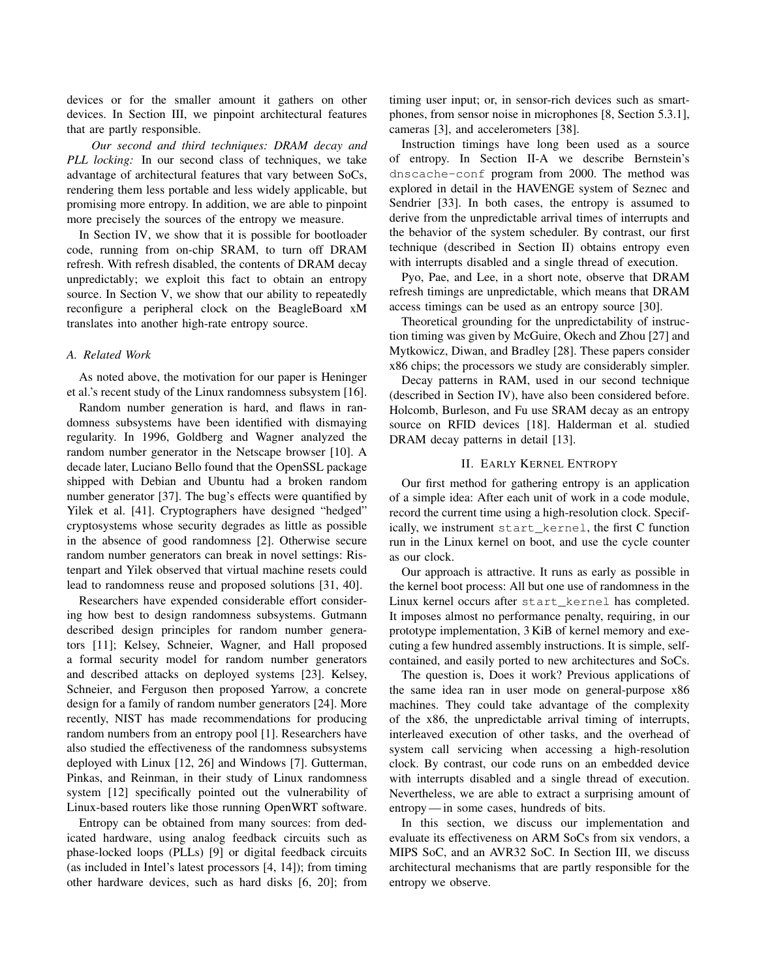devices or for the smaller amount it gathers on other devices. In Section [III,](#page-8-0) we pinpoint architectural features that are partly responsible.

*Our second and third techniques: DRAM decay and PLL locking:* In our second class of techniques, we take advantage of architectural features that vary between SoCs, rendering them less portable and less widely applicable, but promising more entropy. In addition, we are able to pinpoint more precisely the sources of the entropy we measure.

In Section [IV,](#page-10-0) we show that it is possible for bootloader code, running from on-chip SRAM, to turn off DRAM refresh. With refresh disabled, the contents of DRAM decay unpredictably; we exploit this fact to obtain an entropy source. In Section [V,](#page-12-0) we show that our ability to repeatedly reconfigure a peripheral clock on the BeagleBoard xM translates into another high-rate entropy source.

## *A. Related Work*

As noted above, the motivation for our paper is Heninger et al.'s recent study of the Linux randomness subsystem [\[16\]](#page-14-0).

Random number generation is hard, and flaws in randomness subsystems have been identified with dismaying regularity. In 1996, Goldberg and Wagner analyzed the random number generator in the Netscape browser [\[10\]](#page-14-1). A decade later, Luciano Bello found that the OpenSSL package shipped with Debian and Ubuntu had a broken random number generator [\[37\]](#page-14-2). The bug's effects were quantified by Yilek et al. [\[41\]](#page-14-3). Cryptographers have designed "hedged" cryptosystems whose security degrades as little as possible in the absence of good randomness [\[2\]](#page-13-0). Otherwise secure random number generators can break in novel settings: Ristenpart and Yilek observed that virtual machine resets could lead to randomness reuse and proposed solutions [\[31,](#page-14-4) [40\]](#page-14-5).

Researchers have expended considerable effort considering how best to design randomness subsystems. Gutmann described design principles for random number generators [\[11\]](#page-14-6); Kelsey, Schneier, Wagner, and Hall proposed a formal security model for random number generators and described attacks on deployed systems [\[23\]](#page-14-7). Kelsey, Schneier, and Ferguson then proposed Yarrow, a concrete design for a family of random number generators [\[24\]](#page-14-8). More recently, NIST has made recommendations for producing random numbers from an entropy pool [\[1\]](#page-13-1). Researchers have also studied the effectiveness of the randomness subsystems deployed with Linux [\[12,](#page-14-9) [26\]](#page-14-10) and Windows [\[7\]](#page-14-11). Gutterman, Pinkas, and Reinman, in their study of Linux randomness system [\[12\]](#page-14-9) specifically pointed out the vulnerability of Linux-based routers like those running OpenWRT software.

Entropy can be obtained from many sources: from dedicated hardware, using analog feedback circuits such as phase-locked loops (PLLs) [\[9\]](#page-14-12) or digital feedback circuits (as included in Intel's latest processors [\[4,](#page-13-2) [14\]](#page-14-13)); from timing other hardware devices, such as hard disks [\[6,](#page-14-14) [20\]](#page-14-15); from timing user input; or, in sensor-rich devices such as smartphones, from sensor noise in microphones [\[8,](#page-14-16) Section 5.3.1], cameras [\[3\]](#page-13-3), and accelerometers [\[38\]](#page-14-17).

Instruction timings have long been used as a source of entropy. In Section [II-A](#page-2-0) we describe Bernstein's dnscache-conf program from 2000. The method was explored in detail in the HAVENGE system of Seznec and Sendrier [\[33\]](#page-14-18). In both cases, the entropy is assumed to derive from the unpredictable arrival times of interrupts and the behavior of the system scheduler. By contrast, our first technique (described in Section [II\)](#page-1-0) obtains entropy even with interrupts disabled and a single thread of execution.

Pyo, Pae, and Lee, in a short note, observe that DRAM refresh timings are unpredictable, which means that DRAM access timings can be used as an entropy source [\[30\]](#page-14-19).

Theoretical grounding for the unpredictability of instruction timing was given by McGuire, Okech and Zhou [\[27\]](#page-14-20) and Mytkowicz, Diwan, and Bradley [\[28\]](#page-14-21). These papers consider x86 chips; the processors we study are considerably simpler.

Decay patterns in RAM, used in our second technique (described in Section [IV\)](#page-10-0), have also been considered before. Holcomb, Burleson, and Fu use SRAM decay as an entropy source on RFID devices [\[18\]](#page-14-22). Halderman et al. studied DRAM decay patterns in detail [\[13\]](#page-14-23).

# II. EARLY KERNEL ENTROPY

<span id="page-1-0"></span>Our first method for gathering entropy is an application of a simple idea: After each unit of work in a code module, record the current time using a high-resolution clock. Specifically, we instrument start\_kernel, the first C function run in the Linux kernel on boot, and use the cycle counter as our clock.

Our approach is attractive. It runs as early as possible in the kernel boot process: All but one use of randomness in the Linux kernel occurs after start\_kernel has completed. It imposes almost no performance penalty, requiring, in our prototype implementation, 3 KiB of kernel memory and executing a few hundred assembly instructions. It is simple, selfcontained, and easily ported to new architectures and SoCs.

The question is, Does it work? Previous applications of the same idea ran in user mode on general-purpose x86 machines. They could take advantage of the complexity of the x86, the unpredictable arrival timing of interrupts, interleaved execution of other tasks, and the overhead of system call servicing when accessing a high-resolution clock. By contrast, our code runs on an embedded device with interrupts disabled and a single thread of execution. Nevertheless, we are able to extract a surprising amount of entropy — in some cases, hundreds of bits.

In this section, we discuss our implementation and evaluate its effectiveness on ARM SoCs from six vendors, a MIPS SoC, and an AVR32 SoC. In Section [III,](#page-8-0) we discuss architectural mechanisms that are partly responsible for the entropy we observe.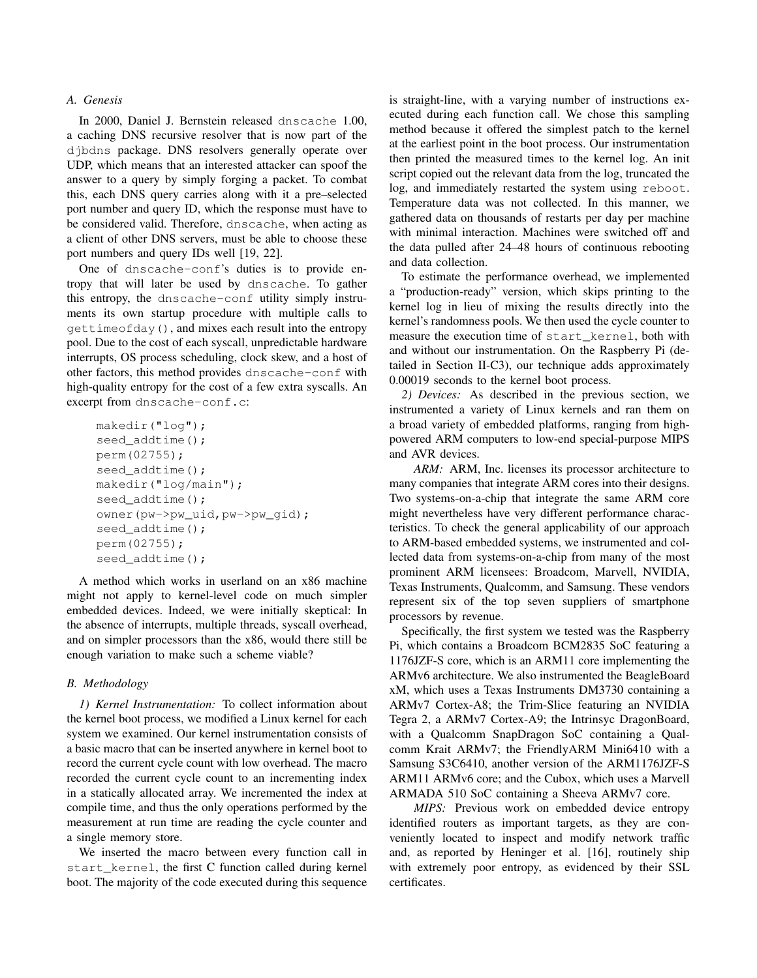# <span id="page-2-0"></span>*A. Genesis*

In 2000, Daniel J. Bernstein released dnscache 1.00, a caching DNS recursive resolver that is now part of the djbdns package. DNS resolvers generally operate over UDP, which means that an interested attacker can spoof the answer to a query by simply forging a packet. To combat this, each DNS query carries along with it a pre–selected port number and query ID, which the response must have to be considered valid. Therefore, dnscache, when acting as a client of other DNS servers, must be able to choose these port numbers and query IDs well [\[19,](#page-14-24) [22\]](#page-14-25).

One of dnscache-conf's duties is to provide entropy that will later be used by dnscache. To gather this entropy, the dnscache-conf utility simply instruments its own startup procedure with multiple calls to gettimeofday(), and mixes each result into the entropy pool. Due to the cost of each syscall, unpredictable hardware interrupts, OS process scheduling, clock skew, and a host of other factors, this method provides dnscache-conf with high-quality entropy for the cost of a few extra syscalls. An excerpt from dnscache-conf.c:

makedir("log"); seed\_addtime(); perm(02755); seed\_addtime(); makedir("log/main"); seed\_addtime(); owner(pw->pw\_uid,pw->pw\_gid); seed\_addtime(); perm(02755); seed\_addtime();

A method which works in userland on an x86 machine might not apply to kernel-level code on much simpler embedded devices. Indeed, we were initially skeptical: In the absence of interrupts, multiple threads, syscall overhead, and on simpler processors than the x86, would there still be enough variation to make such a scheme viable?

# *B. Methodology*

*1) Kernel Instrumentation:* To collect information about the kernel boot process, we modified a Linux kernel for each system we examined. Our kernel instrumentation consists of a basic macro that can be inserted anywhere in kernel boot to record the current cycle count with low overhead. The macro recorded the current cycle count to an incrementing index in a statically allocated array. We incremented the index at compile time, and thus the only operations performed by the measurement at run time are reading the cycle counter and a single memory store.

We inserted the macro between every function call in start kernel, the first C function called during kernel boot. The majority of the code executed during this sequence is straight-line, with a varying number of instructions executed during each function call. We chose this sampling method because it offered the simplest patch to the kernel at the earliest point in the boot process. Our instrumentation then printed the measured times to the kernel log. An init script copied out the relevant data from the log, truncated the log, and immediately restarted the system using reboot. Temperature data was not collected. In this manner, we gathered data on thousands of restarts per day per machine with minimal interaction. Machines were switched off and the data pulled after 24–48 hours of continuous rebooting and data collection.

To estimate the performance overhead, we implemented a "production-ready" version, which skips printing to the kernel log in lieu of mixing the results directly into the kernel's randomness pools. We then used the cycle counter to measure the execution time of start\_kernel, both with and without our instrumentation. On the Raspberry Pi (detailed in Section [II-C3\)](#page-3-0), our technique adds approximately 0.00019 seconds to the kernel boot process.

*2) Devices:* As described in the previous section, we instrumented a variety of Linux kernels and ran them on a broad variety of embedded platforms, ranging from highpowered ARM computers to low-end special-purpose MIPS and AVR devices.

*ARM:* ARM, Inc. licenses its processor architecture to many companies that integrate ARM cores into their designs. Two systems-on-a-chip that integrate the same ARM core might nevertheless have very different performance characteristics. To check the general applicability of our approach to ARM-based embedded systems, we instrumented and collected data from systems-on-a-chip from many of the most prominent ARM licensees: Broadcom, Marvell, NVIDIA, Texas Instruments, Qualcomm, and Samsung. These vendors represent six of the top seven suppliers of smartphone processors by revenue.

Specifically, the first system we tested was the Raspberry Pi, which contains a Broadcom BCM2835 SoC featuring a 1176JZF-S core, which is an ARM11 core implementing the ARMv6 architecture. We also instrumented the BeagleBoard xM, which uses a Texas Instruments DM3730 containing a ARMv7 Cortex-A8; the Trim-Slice featuring an NVIDIA Tegra 2, a ARMv7 Cortex-A9; the Intrinsyc DragonBoard, with a Qualcomm SnapDragon SoC containing a Qualcomm Krait ARMv7; the FriendlyARM Mini6410 with a Samsung S3C6410, another version of the ARM1176JZF-S ARM11 ARMv6 core; and the Cubox, which uses a Marvell ARMADA 510 SoC containing a Sheeva ARMv7 core.

*MIPS:* Previous work on embedded device entropy identified routers as important targets, as they are conveniently located to inspect and modify network traffic and, as reported by Heninger et al. [\[16\]](#page-14-0), routinely ship with extremely poor entropy, as evidenced by their SSL certificates.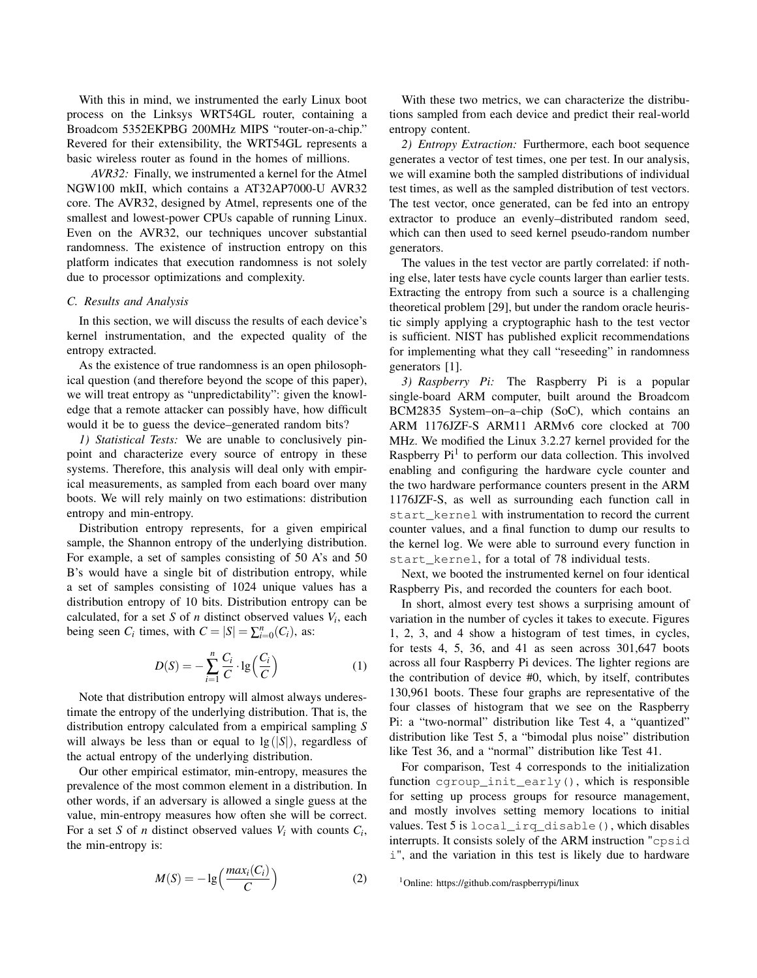With this in mind, we instrumented the early Linux boot process on the Linksys WRT54GL router, containing a Broadcom 5352EKPBG 200MHz MIPS "router-on-a-chip." Revered for their extensibility, the WRT54GL represents a basic wireless router as found in the homes of millions.

*AVR32:* Finally, we instrumented a kernel for the Atmel NGW100 mkII, which contains a AT32AP7000-U AVR32 core. The AVR32, designed by Atmel, represents one of the smallest and lowest-power CPUs capable of running Linux. Even on the AVR32, our techniques uncover substantial randomness. The existence of instruction entropy on this platform indicates that execution randomness is not solely due to processor optimizations and complexity.

### *C. Results and Analysis*

In this section, we will discuss the results of each device's kernel instrumentation, and the expected quality of the entropy extracted.

As the existence of true randomness is an open philosophical question (and therefore beyond the scope of this paper), we will treat entropy as "unpredictability": given the knowledge that a remote attacker can possibly have, how difficult would it be to guess the device–generated random bits?

*1) Statistical Tests:* We are unable to conclusively pinpoint and characterize every source of entropy in these systems. Therefore, this analysis will deal only with empirical measurements, as sampled from each board over many boots. We will rely mainly on two estimations: distribution entropy and min-entropy.

Distribution entropy represents, for a given empirical sample, the Shannon entropy of the underlying distribution. For example, a set of samples consisting of 50 A's and 50 B's would have a single bit of distribution entropy, while a set of samples consisting of 1024 unique values has a distribution entropy of 10 bits. Distribution entropy can be calculated, for a set *S* of *n* distinct observed values  $V_i$ , each being seen  $C_i$  times, with  $C = |S| = \sum_{i=0}^n (C_i)$ , as:

$$
D(S) = -\sum_{i=1}^{n} \frac{C_i}{C} \cdot \lg\left(\frac{C_i}{C}\right)
$$
 (1)

Note that distribution entropy will almost always underestimate the entropy of the underlying distribution. That is, the distribution entropy calculated from a empirical sampling *S* will always be less than or equal to  $\lg(|S|)$ , regardless of the actual entropy of the underlying distribution.

Our other empirical estimator, min-entropy, measures the prevalence of the most common element in a distribution. In other words, if an adversary is allowed a single guess at the value, min-entropy measures how often she will be correct. For a set *S* of *n* distinct observed values  $V_i$  with counts  $C_i$ , the min-entropy is:

$$
M(S) = -\lg\left(\frac{max_i(C_i)}{C}\right) \tag{2}
$$

With these two metrics, we can characterize the distributions sampled from each device and predict their real-world entropy content.

*2) Entropy Extraction:* Furthermore, each boot sequence generates a vector of test times, one per test. In our analysis, we will examine both the sampled distributions of individual test times, as well as the sampled distribution of test vectors. The test vector, once generated, can be fed into an entropy extractor to produce an evenly–distributed random seed, which can then used to seed kernel pseudo-random number generators.

The values in the test vector are partly correlated: if nothing else, later tests have cycle counts larger than earlier tests. Extracting the entropy from such a source is a challenging theoretical problem [\[29\]](#page-14-26), but under the random oracle heuristic simply applying a cryptographic hash to the test vector is sufficient. NIST has published explicit recommendations for implementing what they call "reseeding" in randomness generators [\[1\]](#page-13-1).

<span id="page-3-0"></span>*3) Raspberry Pi:* The Raspberry Pi is a popular single-board ARM computer, built around the Broadcom BCM2835 System–on–a–chip (SoC), which contains an ARM 1176JZF-S ARM11 ARMv6 core clocked at 700 MHz. We modified the Linux 3.2.27 kernel provided for the Raspberry Pi<sup>[1](#page-3-1)</sup> to perform our data collection. This involved enabling and configuring the hardware cycle counter and the two hardware performance counters present in the ARM 1176JZF-S, as well as surrounding each function call in start kernel with instrumentation to record the current counter values, and a final function to dump our results to the kernel log. We were able to surround every function in start\_kernel, for a total of 78 individual tests.

Next, we booted the instrumented kernel on four identical Raspberry Pis, and recorded the counters for each boot.

In short, almost every test shows a surprising amount of variation in the number of cycles it takes to execute. Figures [1,](#page-4-0) [2,](#page-4-1) [3,](#page-4-2) and [4](#page-4-3) show a histogram of test times, in cycles, for tests 4, 5, 36, and 41 as seen across 301,647 boots across all four Raspberry Pi devices. The lighter regions are the contribution of device #0, which, by itself, contributes 130,961 boots. These four graphs are representative of the four classes of histogram that we see on the Raspberry Pi: a "two-normal" distribution like Test 4, a "quantized" distribution like Test 5, a "bimodal plus noise" distribution like Test 36, and a "normal" distribution like Test 41.

For comparison, Test 4 corresponds to the initialization function cgroup\_init\_early(), which is responsible for setting up process groups for resource management, and mostly involves setting memory locations to initial values. Test 5 is local\_irq\_disable(), which disables interrupts. It consists solely of the ARM instruction "cpsid i", and the variation in this test is likely due to hardware

<span id="page-3-1"></span><sup>1</sup>Online: https://github.[com/raspberrypi/linux](https://github.com/raspberrypi/linux)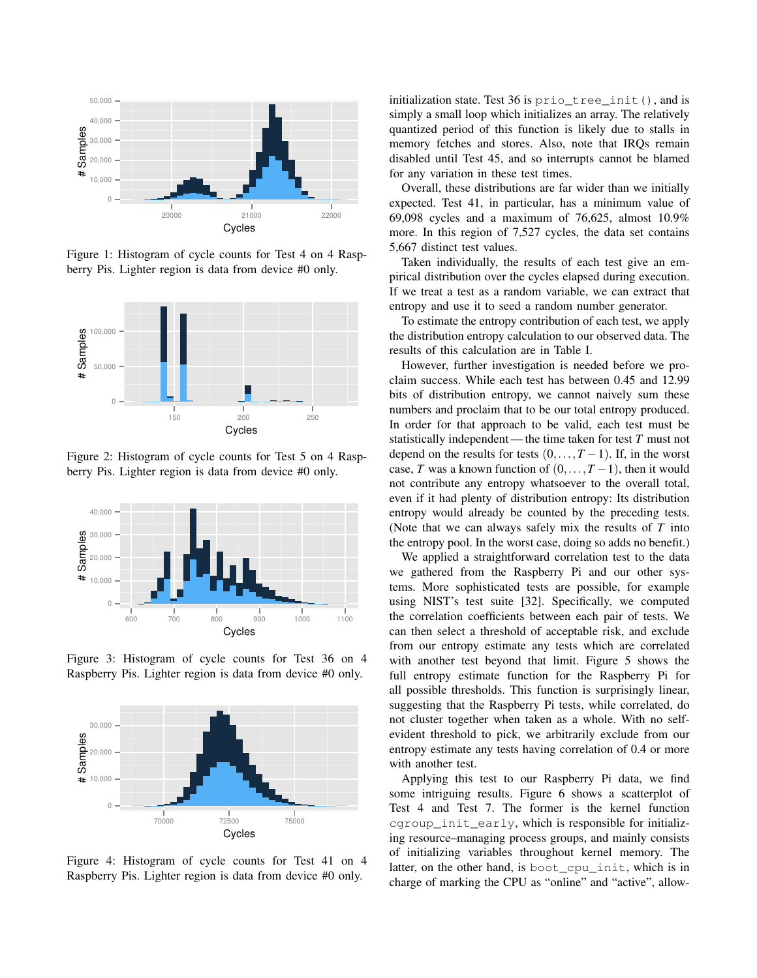<span id="page-4-0"></span>

Figure 1: Histogram of cycle counts for Test 4 on 4 Raspberry Pis. Lighter region is data from device #0 only.

<span id="page-4-1"></span>

Figure 2: Histogram of cycle counts for Test 5 on 4 Raspberry Pis. Lighter region is data from device #0 only.

<span id="page-4-2"></span>

Figure 3: Histogram of cycle counts for Test 36 on 4 Raspberry Pis. Lighter region is data from device #0 only.

<span id="page-4-3"></span>

Figure 4: Histogram of cycle counts for Test 41 on 4 Raspberry Pis. Lighter region is data from device #0 only.

initialization state. Test 36 is prio\_tree\_init(), and is simply a small loop which initializes an array. The relatively quantized period of this function is likely due to stalls in memory fetches and stores. Also, note that IRQs remain disabled until Test 45, and so interrupts cannot be blamed for any variation in these test times.

Overall, these distributions are far wider than we initially expected. Test 41, in particular, has a minimum value of 69,098 cycles and a maximum of 76,625, almost 10.9% more. In this region of 7,527 cycles, the data set contains 5,667 distinct test values.

Taken individually, the results of each test give an empirical distribution over the cycles elapsed during execution. If we treat a test as a random variable, we can extract that entropy and use it to seed a random number generator.

To estimate the entropy contribution of each test, we apply the distribution entropy calculation to our observed data. The results of this calculation are in Table [I.](#page-5-0)

However, further investigation is needed before we proclaim success. While each test has between 0.45 and 12.99 bits of distribution entropy, we cannot naively sum these numbers and proclaim that to be our total entropy produced. In order for that approach to be valid, each test must be statistically independent— the time taken for test *T* must not depend on the results for tests  $(0, \ldots, T-1)$ . If, in the worst case, *T* was a known function of  $(0, \ldots, T-1)$ , then it would not contribute any entropy whatsoever to the overall total, even if it had plenty of distribution entropy: Its distribution entropy would already be counted by the preceding tests. (Note that we can always safely mix the results of *T* into the entropy pool. In the worst case, doing so adds no benefit.)

We applied a straightforward correlation test to the data we gathered from the Raspberry Pi and our other systems. More sophisticated tests are possible, for example using NIST's test suite [\[32\]](#page-14-27). Specifically, we computed the correlation coefficients between each pair of tests. We can then select a threshold of acceptable risk, and exclude from our entropy estimate any tests which are correlated with another test beyond that limit. Figure [5](#page-5-1) shows the full entropy estimate function for the Raspberry Pi for all possible thresholds. This function is surprisingly linear, suggesting that the Raspberry Pi tests, while correlated, do not cluster together when taken as a whole. With no selfevident threshold to pick, we arbitrarily exclude from our entropy estimate any tests having correlation of 0.4 or more with another test.

Applying this test to our Raspberry Pi data, we find some intriguing results. Figure [6](#page-5-2) shows a scatterplot of Test 4 and Test 7. The former is the kernel function cgroup init early, which is responsible for initializing resource–managing process groups, and mainly consists of initializing variables throughout kernel memory. The latter, on the other hand, is boot\_cpu\_init, which is in charge of marking the CPU as "online" and "active", allow-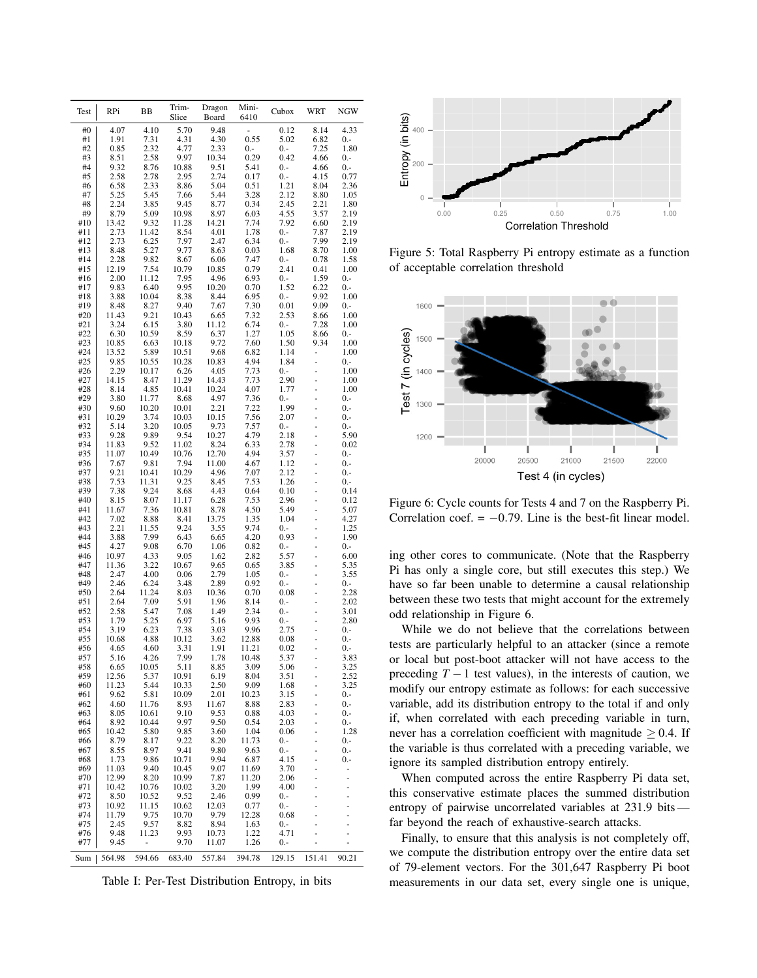<span id="page-5-0"></span>

| Test       | RPi           | BB             | Trim-<br>Slice | Dragon<br>Board | Mini-<br>6410 | Cubox           | <b>WRT</b>    | <b>NGW</b>       |
|------------|---------------|----------------|----------------|-----------------|---------------|-----------------|---------------|------------------|
| #0         | 4.07          | 4.10           | 5.70           | 9.48            |               | 0.12            | 8.14          | 4.33             |
| #1         | 1.91          | 7.31           | 4.31           | 4.30            | 0.55          | 5.02            | 6.82          | $0. -$           |
| #2         | 0.85          | 2.32           | 4.77           | 2.33            | $0. -$        | $0. -$          | 7.25          | 1.80             |
| #3         | 8.51          | 2.58           | 9.97           | 10.34           | 0.29          | 0.42            | 4.66          | $0. -$           |
| #4         | 9.32          | 8.76           | 10.88          | 9.51            | 5.41          | $0. -$          | 4.66          | $0. -$           |
| #5<br>#6   | 2.58<br>6.58  | 2.78<br>2.33   | 2.95<br>8.86   | 2.74<br>5.04    | 0.17<br>0.51  | $0. -$<br>1.21  | 4.15<br>8.04  | 0.77<br>2.36     |
| #7         | 5.25          | 5.45           | 7.66           | 5.44            | 3.28          | 2.12            | 8.80          | 1.05             |
| #8         | 2.24          | 3.85           | 9.45           | 8.77            | 0.34          | 2.45            | 2.21          | 1.80             |
| #9         | 8.79          | 5.09           | 10.98          | 8.97            | 6.03          | 4.55            | 3.57          | 2.19             |
| #10        | 13.42         | 9.32           | 11.28          | 14.21           | 7.74          | 7.92            | 6.60          | 2.19             |
| #11        | 2.73          | 11.42          | 8.54           | 4.01            | 1.78          | 0.-             | 7.87          | 2.19             |
| #12        | 2.73          | 6.25           | 7.97           | 2.47            | 6.34          | $0. -$          | 7.99          | 2.19             |
| #13        | 8.48          | 5.27           | 9.77           | 8.63            | 0.03          | 1.68            | 8.70          | 1.00             |
| #14        | 2.28          | 9.82           | 8.67           | 6.06            | 7.47          | $0 -$           | 0.78          | 1.58             |
| #15<br>#16 | 12.19<br>2.00 | 7.54           | 10.79<br>7.95  | 10.85           | 0.79          | 2.41<br>$0. -$  | 0.41          | 1.00<br>$0. -$   |
| #17        | 9.83          | 11.12<br>6.40  | 9.95           | 4.96<br>10.20   | 6.93<br>0.70  | 1.52            | 1.59<br>6.22  | $0. -$           |
| #18        | 3.88          | 10.04          | 8.38           | 8.44            | 6.95          | 0.-             | 9.92          | 1.00             |
| #19        | 8.48          | 8.27           | 9.40           | 7.67            | 7.30          | 0.01            | 9.09          | $0. -$           |
| #20        | 11.43         | 9.21           | 10.43          | 6.65            | 7.32          | 2.53            | 8.66          | 1.00             |
| #21        | 3.24          | 6.15           | 3.80           | 11.12           | 6.74          | 0.-             | 7.28          | 1.00             |
| #22        | 6.30          | 10.59          | 8.59           | 6.37            | 1.27          | 1.05            | 8.66          | $0. -$           |
| #23        | 10.85         | 6.63           | 10.18          | 9.72            | 7.60          | 1.50            | 9.34          | 1.00             |
| #24        | 13.52         | 5.89           | 10.51          | 9.68            | 6.82          | 1.14            | $\frac{1}{2}$ | 1.00             |
| #25        | 9.85          | 10.55          | 10.28          | 10.83           | 4.94          | 1.84            |               | $0. -$           |
| #26        | 2.29          | 10.17          | 6.26           | 4.05            | 7.73          | $0. -$          |               | 1.00             |
| #27        | 14.15         | 8.47<br>4.85   | 11.29          | 14.43<br>10.24  | 7.73<br>4.07  | 2.90<br>1.77    |               | 1.00             |
| #28<br>#29 | 8.14<br>3.80  | 11.77          | 10.41<br>8.68  | 4.97            | 7.36          | $0. -$          | ÷,            | 1.00<br>$0. -$   |
| #30        | 9.60          | 10.20          | 10.01          | 2.21            | 7.22          | 1.99            |               | $0. -$           |
| #31        | 10.29         | 3.74           | 10.03          | 10.15           | 7.56          | 2.07            |               | $0. -$           |
| #32        | 5.14          | 3.20           | 10.05          | 9.73            | 7.57          | $0. -$          | L,            | $0 -$            |
| #33        | 9.28          | 9.89           | 9.54           | 10.27           | 4.79          | 2.18            |               | 5.90             |
| #34        | 11.83         | 9.52           | 11.02          | 8.24            | 6.33          | 2.78            |               | 0.02             |
| #35        | 11.07         | 10.49          | 10.76          | 12.70           | 4.94          | 3.57            |               | $0. -$           |
| #36        | 7.67          | 9.81           | 7.94           | 11.00           | 4.67          | 1.12            |               | $0. -$           |
| #37        | 9.21          | 10.41          | 10.29          | 4.96            | 7.07          | 2.12            |               | $0. -$           |
| #38        | 7.53          | 11.31          | 9.25           | 8.45            | 7.53          | 1.26            |               | $0. -$           |
| #39        | 7.38          | 9.24           | 8.68           | 4.43            | 0.64          | 0.10            |               | 0.14             |
| #40<br>#41 | 8.15<br>11.67 | 8.07<br>7.36   | 11.17<br>10.81 | 6.28<br>8.78    | 7.53<br>4.50  | 2.96<br>5.49    | ÷,            | 0.12<br>5.07     |
| #42        | 7.02          | 8.88           | 8.41           | 13.75           | 1.35          | 1.04            |               | 4.27             |
| #43        | 2.21          | 11.55          | 9.24           | 3.55            | 9.74          | 0.-             |               | 1.25             |
| #44        | 3.88          | 7.99           | 6.43           | 6.65            | 4.20          | 0.93            |               | 1.90             |
| #45        | 4.27          | 9.08           | 6.70           | 1.06            | 0.82          | 0.-             |               | $0. -$           |
| #46        | 10.97         | 4.33           | 9.05           | 1.62            | 2.82          | 5.57            |               | 6.00             |
| #47        | 11.36         | 3.22           | 10.67          | 9.65            | 0.65          | 3.85            |               | 5.35             |
| #48        | 2.47          | 4.00           | 0.06           | 2.79            | 1.05          | $0. -$          | L,            | 3.55             |
| #49        | 2.46          | 6.24           | 3.48           | 2.89            | 0.92          | $0. -$          |               | $0. -$           |
| #50        | 2.64          | 11.24<br>7.09  | 8.03           | 10.36<br>1.96   | 0.70<br>8.14  | 0.08            |               | 2.28<br>2.02     |
| #51<br>#52 | 2.64<br>2.58  | 5.47           | 5.91<br>7.08   | 1.49            | 2.34          | $0 -$<br>$0. -$ | L,            | 3.01             |
| #53        | 1.79          | 5.25           | 6.97           | 5.16            | 9.93          | $0. -$          |               | 2.80             |
| #54        | 3.19          | 6.23           | 7.38           | 3.03            | 9.96          | 2.75            |               | $0. -$           |
| #55        | 10.68         | 4.88           | 10.12          | 3.62            | 12.88         | 0.08            |               | $0. -$           |
| #56        | 4.65          | 4.60           | 3.31           | 1.91            | 11.21         | 0.02            |               | $0. -$           |
| #57        | 5.16          | 4.26           | 7.99           | 1.78            | 10.48         | 5.37            |               | 3.83             |
| #58        | 6.65          | 10.05          | 5.11           | 8.85            | 3.09          | 5.06            |               | 3.25             |
| #59        | 12.56         | 5.37           | 10.91          | 6.19            | 8.04          | 3.51            |               | 2.52             |
| #60<br>#61 | 11.23         | 5.44           | 10.33          | 2.50<br>2.01    | 9.09          | 1.68            |               | 3.25             |
| #62        | 9.62<br>4.60  | 5.81<br>11.76  | 10.09<br>8.93  | 11.67           | 10.23<br>8.88 | 3.15<br>2.83    |               | $0. -$<br>$0. -$ |
| #63        | 8.05          | 10.61          | 9.10           | 9.53            | 0.88          | 4.03            |               | $0. -$           |
| #64        | 8.92          | 10.44          | 9.97           | 9.50            | 0.54          | 2.03            |               | $0. -$           |
| #65        | 10.42         | 5.80           | 9.85           | 3.60            | 1.04          | 0.06            |               | 1.28             |
| #66        | 8.79          | 8.17           | 9.22           | 8.20            | 11.73         | $0 -$           |               | $0. -$           |
| #67        | 8.55          | 8.97           | 9.41           | 9.80            | 9.63          | $0. -$          |               | $0. -$           |
| #68        | 1.73          | 9.86           | 10.71          | 9.94            | 6.87          | 4.15            |               | 0.-              |
| #69        | 11.03         | 9.40           | 10.45          | 9.07            | 11.69         | 3.70            |               | -                |
| #70        | 12.99         | 8.20           | 10.99          | 7.87            | 11.20         | 2.06            |               | -                |
| #71        | 10.42         | 10.76          | 10.02          | 3.20            | 1.99          | 4.00            |               |                  |
| #72<br>#73 | 8.50<br>10.92 | 10.52<br>11.15 | 9.52<br>10.62  | 2.46<br>12.03   | 0.99<br>0.77  | $0 -$<br>$0. -$ |               | -                |
| #74        | 11.79         | 9.75           | 10.70          | 9.79            | 12.28         | 0.68            |               |                  |
| #75        | 2.45          | 9.57           | 8.82           | 8.94            | 1.63          | 0.-             |               |                  |
| #76        | 9.48          | 11.23          | 9.93           | 10.73           | 1.22          | 4.71            |               | ÷                |
| #77        | 9.45          | -              | 9.70           | 11.07           | 1.26          | $0. -$          |               | ÷                |
| Sum        | 564.98        | 594.66         | 683.40         | 557.84          | 394.78        | 129.15          | 151.41        | 90.21            |
|            |               |                |                |                 |               |                 |               |                  |

Table I: Per-Test Distribution Entropy, in bits

<span id="page-5-1"></span>

Figure 5: Total Raspberry Pi entropy estimate as a function of acceptable correlation threshold

<span id="page-5-2"></span>

Figure 6: Cycle counts for Tests 4 and 7 on the Raspberry Pi. Correlation coef.  $= -0.79$ . Line is the best-fit linear model.

ing other cores to communicate. (Note that the Raspberry Pi has only a single core, but still executes this step.) We have so far been unable to determine a causal relationship between these two tests that might account for the extremely odd relationship in Figure [6.](#page-5-2)

While we do not believe that the correlations between tests are particularly helpful to an attacker (since a remote or local but post-boot attacker will not have access to the preceding  $T - 1$  test values), in the interests of caution, we modify our entropy estimate as follows: for each successive variable, add its distribution entropy to the total if and only if, when correlated with each preceding variable in turn, never has a correlation coefficient with magnitude  $> 0.4$ . If the variable is thus correlated with a preceding variable, we ignore its sampled distribution entropy entirely.

When computed across the entire Raspberry Pi data set, this conservative estimate places the summed distribution entropy of pairwise uncorrelated variables at 231.9 bits far beyond the reach of exhaustive-search attacks.

Finally, to ensure that this analysis is not completely off, we compute the distribution entropy over the entire data set of 79-element vectors. For the 301,647 Raspberry Pi boot measurements in our data set, every single one is unique,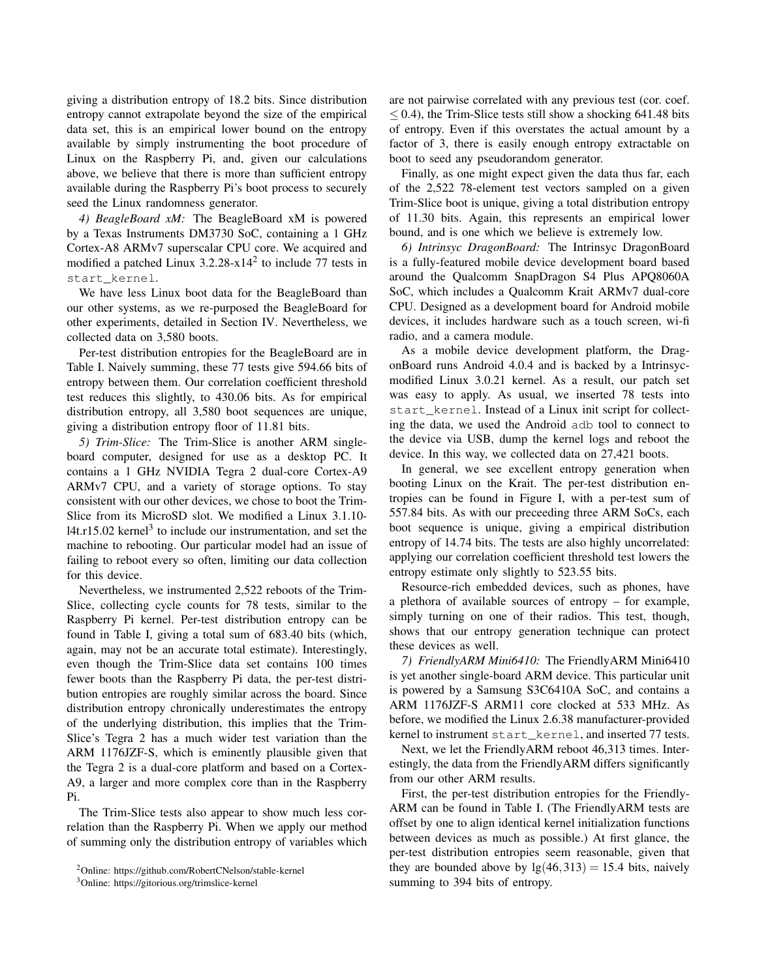giving a distribution entropy of 18.2 bits. Since distribution entropy cannot extrapolate beyond the size of the empirical data set, this is an empirical lower bound on the entropy available by simply instrumenting the boot procedure of Linux on the Raspberry Pi, and, given our calculations above, we believe that there is more than sufficient entropy available during the Raspberry Pi's boot process to securely seed the Linux randomness generator.

*4) BeagleBoard xM:* The BeagleBoard xM is powered by a Texas Instruments DM3730 SoC, containing a 1 GHz Cortex-A8 ARMv7 superscalar CPU core. We acquired and modified a patched Linux  $3.2.28 - x14^2$  $3.2.28 - x14^2$  $3.2.28 - x14^2$  to include 77 tests in start kernel.

We have less Linux boot data for the BeagleBoard than our other systems, as we re-purposed the BeagleBoard for other experiments, detailed in Section [IV.](#page-10-0) Nevertheless, we collected data on 3,580 boots.

Per-test distribution entropies for the BeagleBoard are in Table [I.](#page-5-0) Naively summing, these 77 tests give 594.66 bits of entropy between them. Our correlation coefficient threshold test reduces this slightly, to 430.06 bits. As for empirical distribution entropy, all 3,580 boot sequences are unique, giving a distribution entropy floor of 11.81 bits.

*5) Trim-Slice:* The Trim-Slice is another ARM singleboard computer, designed for use as a desktop PC. It contains a 1 GHz NVIDIA Tegra 2 dual-core Cortex-A9 ARMv7 CPU, and a variety of storage options. To stay consistent with our other devices, we chose to boot the Trim-Slice from its MicroSD slot. We modified a Linux 3.1.10- 14t.r15.02 kernel<sup>[3](#page-6-1)</sup> to include our instrumentation, and set the machine to rebooting. Our particular model had an issue of failing to reboot every so often, limiting our data collection for this device.

Nevertheless, we instrumented 2,522 reboots of the Trim-Slice, collecting cycle counts for 78 tests, similar to the Raspberry Pi kernel. Per-test distribution entropy can be found in Table [I,](#page-5-0) giving a total sum of 683.40 bits (which, again, may not be an accurate total estimate). Interestingly, even though the Trim-Slice data set contains 100 times fewer boots than the Raspberry Pi data, the per-test distribution entropies are roughly similar across the board. Since distribution entropy chronically underestimates the entropy of the underlying distribution, this implies that the Trim-Slice's Tegra 2 has a much wider test variation than the ARM 1176JZF-S, which is eminently plausible given that the Tegra 2 is a dual-core platform and based on a Cortex-A9, a larger and more complex core than in the Raspberry Pi.

The Trim-Slice tests also appear to show much less correlation than the Raspberry Pi. When we apply our method of summing only the distribution entropy of variables which are not pairwise correlated with any previous test (cor. coef.  $\leq$  0.4), the Trim-Slice tests still show a shocking 641.48 bits of entropy. Even if this overstates the actual amount by a factor of 3, there is easily enough entropy extractable on boot to seed any pseudorandom generator.

Finally, as one might expect given the data thus far, each of the 2,522 78-element test vectors sampled on a given Trim-Slice boot is unique, giving a total distribution entropy of 11.30 bits. Again, this represents an empirical lower bound, and is one which we believe is extremely low.

*6) Intrinsyc DragonBoard:* The Intrinsyc DragonBoard is a fully-featured mobile device development board based around the Qualcomm SnapDragon S4 Plus APQ8060A SoC, which includes a Qualcomm Krait ARMv7 dual-core CPU. Designed as a development board for Android mobile devices, it includes hardware such as a touch screen, wi-fi radio, and a camera module.

As a mobile device development platform, the DragonBoard runs Android 4.0.4 and is backed by a Intrinsycmodified Linux 3.0.21 kernel. As a result, our patch set was easy to apply. As usual, we inserted 78 tests into start\_kernel. Instead of a Linux init script for collecting the data, we used the Android adb tool to connect to the device via USB, dump the kernel logs and reboot the device. In this way, we collected data on 27,421 boots.

In general, we see excellent entropy generation when booting Linux on the Krait. The per-test distribution entropies can be found in Figure [I,](#page-5-0) with a per-test sum of 557.84 bits. As with our preceeding three ARM SoCs, each boot sequence is unique, giving a empirical distribution entropy of 14.74 bits. The tests are also highly uncorrelated: applying our correlation coefficient threshold test lowers the entropy estimate only slightly to 523.55 bits.

Resource-rich embedded devices, such as phones, have a plethora of available sources of entropy – for example, simply turning on one of their radios. This test, though, shows that our entropy generation technique can protect these devices as well.

*7) FriendlyARM Mini6410:* The FriendlyARM Mini6410 is yet another single-board ARM device. This particular unit is powered by a Samsung S3C6410A SoC, and contains a ARM 1176JZF-S ARM11 core clocked at 533 MHz. As before, we modified the Linux 2.6.38 manufacturer-provided kernel to instrument start\_kernel, and inserted 77 tests.

Next, we let the FriendlyARM reboot 46,313 times. Interestingly, the data from the FriendlyARM differs significantly from our other ARM results.

First, the per-test distribution entropies for the Friendly-ARM can be found in Table [I.](#page-5-0) (The FriendlyARM tests are offset by one to align identical kernel initialization functions between devices as much as possible.) At first glance, the per-test distribution entropies seem reasonable, given that they are bounded above by  $\lg(46,313) = 15.4$  bits, naively summing to 394 bits of entropy.

<span id="page-6-0"></span><sup>2</sup>Online: https://github.[com/RobertCNelson/stable-kernel](https://github.com/RobertCNelson/stable-kernel)

<span id="page-6-1"></span><sup>3</sup>Online: https://gitorious.[org/trimslice-kernel](https://gitorious.org/trimslice-kernel)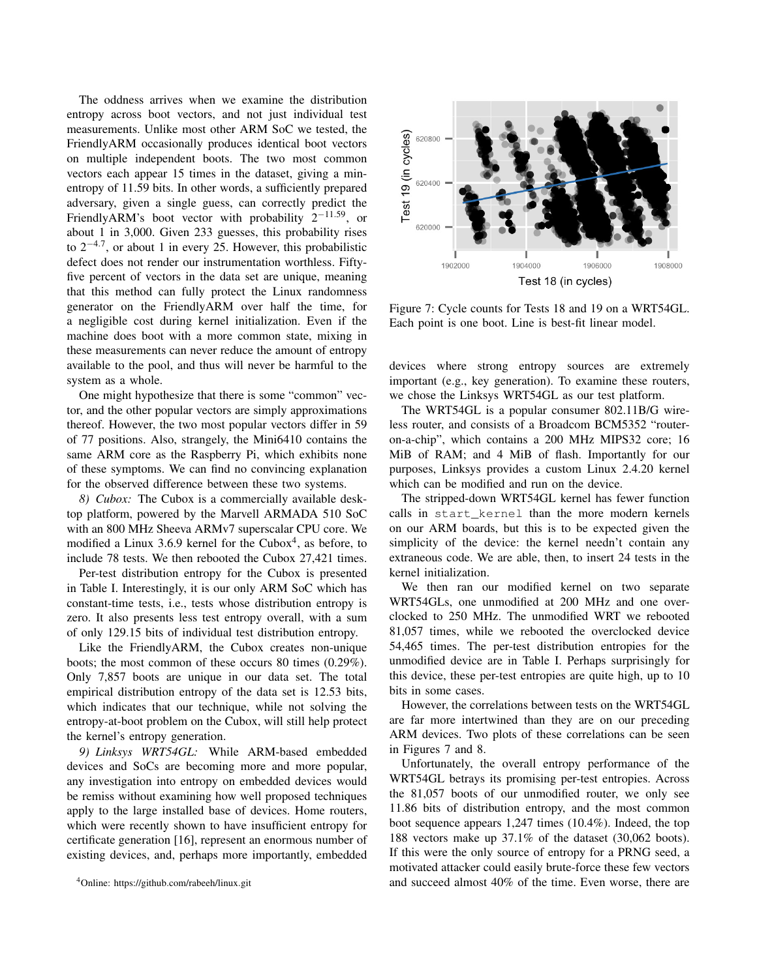The oddness arrives when we examine the distribution entropy across boot vectors, and not just individual test measurements. Unlike most other ARM SoC we tested, the FriendlyARM occasionally produces identical boot vectors on multiple independent boots. The two most common vectors each appear 15 times in the dataset, giving a minentropy of 11.59 bits. In other words, a sufficiently prepared adversary, given a single guess, can correctly predict the FriendlyARM's boot vector with probability 2−11.59, or about 1 in 3,000. Given 233 guesses, this probability rises to  $2^{-4.7}$ , or about 1 in every 25. However, this probabilistic defect does not render our instrumentation worthless. Fiftyfive percent of vectors in the data set are unique, meaning that this method can fully protect the Linux randomness generator on the FriendlyARM over half the time, for a negligible cost during kernel initialization. Even if the machine does boot with a more common state, mixing in these measurements can never reduce the amount of entropy available to the pool, and thus will never be harmful to the system as a whole.

One might hypothesize that there is some "common" vector, and the other popular vectors are simply approximations thereof. However, the two most popular vectors differ in 59 of 77 positions. Also, strangely, the Mini6410 contains the same ARM core as the Raspberry Pi, which exhibits none of these symptoms. We can find no convincing explanation for the observed difference between these two systems.

*8) Cubox:* The Cubox is a commercially available desktop platform, powered by the Marvell ARMADA 510 SoC with an 800 MHz Sheeva ARMv7 superscalar CPU core. We modified a Linux 3.6.9 kernel for the Cubox<sup>[4](#page-7-0)</sup>, as before, to include 78 tests. We then rebooted the Cubox 27,421 times.

Per-test distribution entropy for the Cubox is presented in Table [I.](#page-5-0) Interestingly, it is our only ARM SoC which has constant-time tests, i.e., tests whose distribution entropy is zero. It also presents less test entropy overall, with a sum of only 129.15 bits of individual test distribution entropy.

Like the FriendlyARM, the Cubox creates non-unique boots; the most common of these occurs 80 times (0.29%). Only 7,857 boots are unique in our data set. The total empirical distribution entropy of the data set is 12.53 bits, which indicates that our technique, while not solving the entropy-at-boot problem on the Cubox, will still help protect the kernel's entropy generation.

*9) Linksys WRT54GL:* While ARM-based embedded devices and SoCs are becoming more and more popular, any investigation into entropy on embedded devices would be remiss without examining how well proposed techniques apply to the large installed base of devices. Home routers, which were recently shown to have insufficient entropy for certificate generation [\[16\]](#page-14-0), represent an enormous number of existing devices, and, perhaps more importantly, embedded

<span id="page-7-1"></span>

Figure 7: Cycle counts for Tests 18 and 19 on a WRT54GL. Each point is one boot. Line is best-fit linear model.

devices where strong entropy sources are extremely important (e.g., key generation). To examine these routers, we chose the Linksys WRT54GL as our test platform.

The WRT54GL is a popular consumer 802.11B/G wireless router, and consists of a Broadcom BCM5352 "routeron-a-chip", which contains a 200 MHz MIPS32 core; 16 MiB of RAM; and 4 MiB of flash. Importantly for our purposes, Linksys provides a custom Linux 2.4.20 kernel which can be modified and run on the device.

The stripped-down WRT54GL kernel has fewer function calls in start\_kernel than the more modern kernels on our ARM boards, but this is to be expected given the simplicity of the device: the kernel needn't contain any extraneous code. We are able, then, to insert 24 tests in the kernel initialization.

We then ran our modified kernel on two separate WRT54GLs, one unmodified at 200 MHz and one overclocked to 250 MHz. The unmodified WRT we rebooted 81,057 times, while we rebooted the overclocked device 54,465 times. The per-test distribution entropies for the unmodified device are in Table [I.](#page-5-0) Perhaps surprisingly for this device, these per-test entropies are quite high, up to 10 bits in some cases.

However, the correlations between tests on the WRT54GL are far more intertwined than they are on our preceding ARM devices. Two plots of these correlations can be seen in Figures [7](#page-7-1) and [8.](#page-8-1)

Unfortunately, the overall entropy performance of the WRT54GL betrays its promising per-test entropies. Across the 81,057 boots of our unmodified router, we only see 11.86 bits of distribution entropy, and the most common boot sequence appears 1,247 times (10.4%). Indeed, the top 188 vectors make up 37.1% of the dataset (30,062 boots). If this were the only source of entropy for a PRNG seed, a motivated attacker could easily brute-force these few vectors and succeed almost 40% of the time. Even worse, there are

<span id="page-7-0"></span><sup>4</sup>Online: https://github.[com/rabeeh/linux](https://github.com/rabeeh/linux.git).git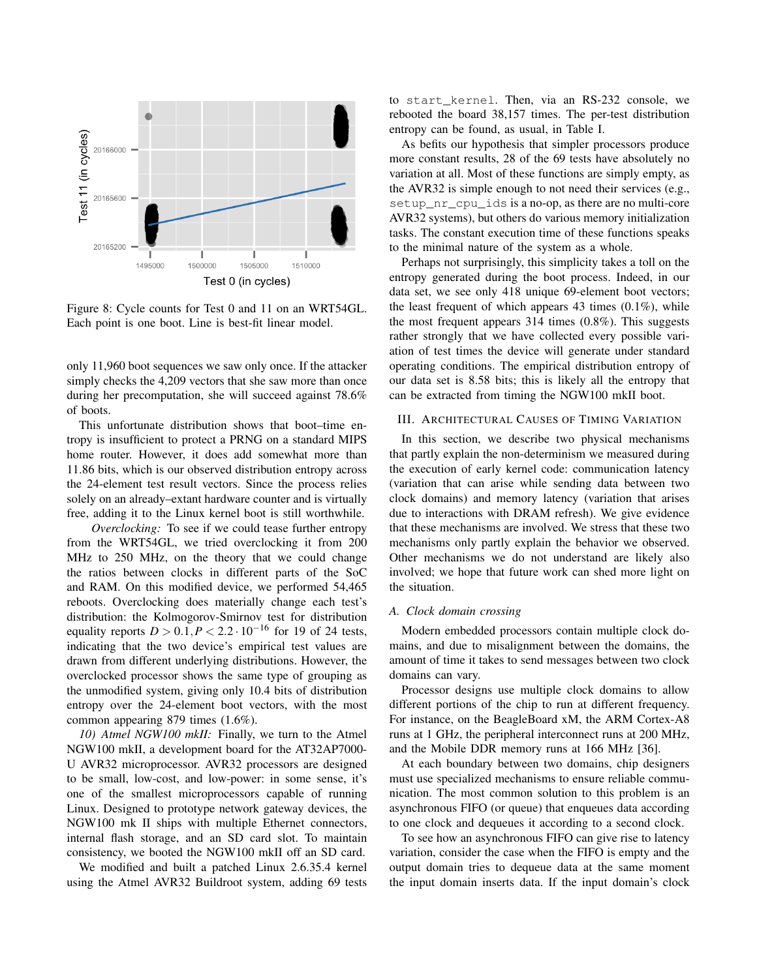<span id="page-8-1"></span>

Figure 8: Cycle counts for Test 0 and 11 on an WRT54GL. Each point is one boot. Line is best-fit linear model.

only 11,960 boot sequences we saw only once. If the attacker simply checks the 4,209 vectors that she saw more than once during her precomputation, she will succeed against 78.6% of boots.

This unfortunate distribution shows that boot–time entropy is insufficient to protect a PRNG on a standard MIPS home router. However, it does add somewhat more than 11.86 bits, which is our observed distribution entropy across the 24-element test result vectors. Since the process relies solely on an already–extant hardware counter and is virtually free, adding it to the Linux kernel boot is still worthwhile.

*Overclocking:* To see if we could tease further entropy from the WRT54GL, we tried overclocking it from 200 MHz to 250 MHz, on the theory that we could change the ratios between clocks in different parts of the SoC and RAM. On this modified device, we performed 54,465 reboots. Overclocking does materially change each test's distribution: the Kolmogorov-Smirnov test for distribution equality reports  $D > 0.1, P < 2.2 \cdot 10^{-16}$  for 19 of 24 tests, indicating that the two device's empirical test values are drawn from different underlying distributions. However, the overclocked processor shows the same type of grouping as the unmodified system, giving only 10.4 bits of distribution entropy over the 24-element boot vectors, with the most common appearing 879 times (1.6%).

*10) Atmel NGW100 mkII:* Finally, we turn to the Atmel NGW100 mkII, a development board for the AT32AP7000- U AVR32 microprocessor. AVR32 processors are designed to be small, low-cost, and low-power: in some sense, it's one of the smallest microprocessors capable of running Linux. Designed to prototype network gateway devices, the NGW100 mk II ships with multiple Ethernet connectors, internal flash storage, and an SD card slot. To maintain consistency, we booted the NGW100 mkII off an SD card.

We modified and built a patched Linux 2.6.35.4 kernel using the Atmel AVR32 Buildroot system, adding 69 tests to start\_kernel. Then, via an RS-232 console, we rebooted the board 38,157 times. The per-test distribution entropy can be found, as usual, in Table [I.](#page-5-0)

As befits our hypothesis that simpler processors produce more constant results, 28 of the 69 tests have absolutely no variation at all. Most of these functions are simply empty, as the AVR32 is simple enough to not need their services (e.g., setup\_nr\_cpu\_ids is a no-op, as there are no multi-core AVR32 systems), but others do various memory initialization tasks. The constant execution time of these functions speaks to the minimal nature of the system as a whole.

Perhaps not surprisingly, this simplicity takes a toll on the entropy generated during the boot process. Indeed, in our data set, we see only 418 unique 69-element boot vectors; the least frequent of which appears  $43$  times  $(0.1\%)$ , while the most frequent appears 314 times (0.8%). This suggests rather strongly that we have collected every possible variation of test times the device will generate under standard operating conditions. The empirical distribution entropy of our data set is 8.58 bits; this is likely all the entropy that can be extracted from timing the NGW100 mkII boot.

# <span id="page-8-0"></span>III. ARCHITECTURAL CAUSES OF TIMING VARIATION

In this section, we describe two physical mechanisms that partly explain the non-determinism we measured during the execution of early kernel code: communication latency (variation that can arise while sending data between two clock domains) and memory latency (variation that arises due to interactions with DRAM refresh). We give evidence that these mechanisms are involved. We stress that these two mechanisms only partly explain the behavior we observed. Other mechanisms we do not understand are likely also involved; we hope that future work can shed more light on the situation.

### *A. Clock domain crossing*

Modern embedded processors contain multiple clock domains, and due to misalignment between the domains, the amount of time it takes to send messages between two clock domains can vary.

Processor designs use multiple clock domains to allow different portions of the chip to run at different frequency. For instance, on the BeagleBoard xM, the ARM Cortex-A8 runs at 1 GHz, the peripheral interconnect runs at 200 MHz, and the Mobile DDR memory runs at 166 MHz [\[36\]](#page-14-28).

At each boundary between two domains, chip designers must use specialized mechanisms to ensure reliable communication. The most common solution to this problem is an asynchronous FIFO (or queue) that enqueues data according to one clock and dequeues it according to a second clock.

To see how an asynchronous FIFO can give rise to latency variation, consider the case when the FIFO is empty and the output domain tries to dequeue data at the same moment the input domain inserts data. If the input domain's clock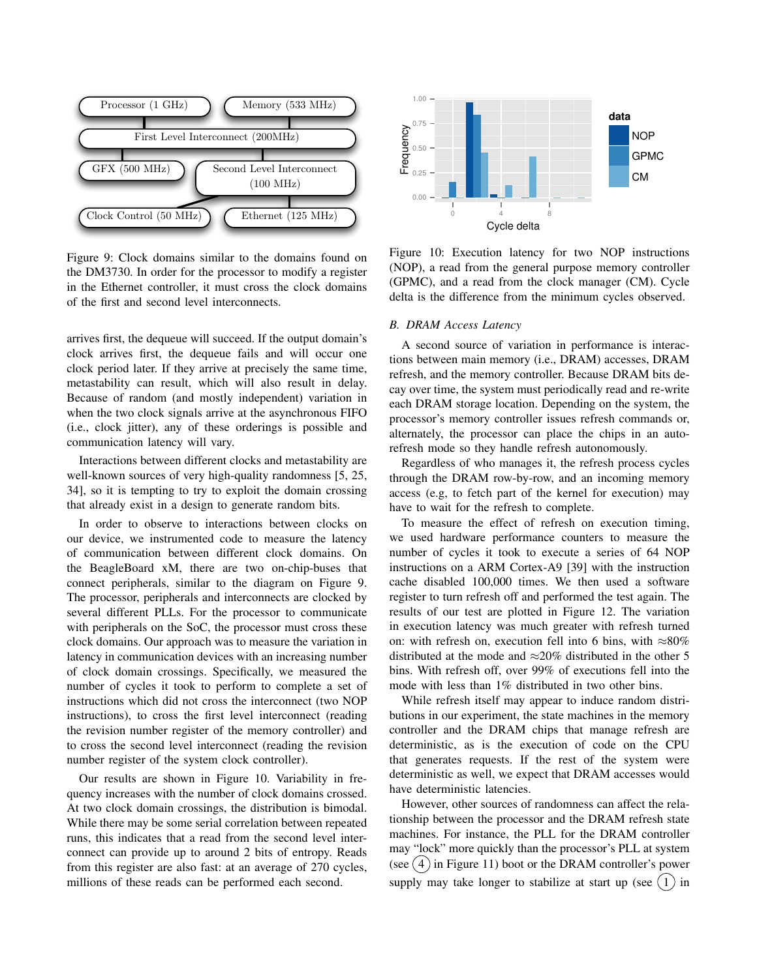<span id="page-9-0"></span>

Figure 9: Clock domains similar to the domains found on the DM3730. In order for the processor to modify a register in the Ethernet controller, it must cross the clock domains of the first and second level interconnects.

arrives first, the dequeue will succeed. If the output domain's clock arrives first, the dequeue fails and will occur one clock period later. If they arrive at precisely the same time, metastability can result, which will also result in delay. Because of random (and mostly independent) variation in when the two clock signals arrive at the asynchronous FIFO (i.e., clock jitter), any of these orderings is possible and communication latency will vary.

Interactions between different clocks and metastability are well-known sources of very high-quality randomness [\[5,](#page-13-4) [25,](#page-14-29) [34\]](#page-14-30), so it is tempting to try to exploit the domain crossing that already exist in a design to generate random bits.

In order to observe to interactions between clocks on our device, we instrumented code to measure the latency of communication between different clock domains. On the BeagleBoard xM, there are two on-chip-buses that connect peripherals, similar to the diagram on Figure [9.](#page-9-0) The processor, peripherals and interconnects are clocked by several different PLLs. For the processor to communicate with peripherals on the SoC, the processor must cross these clock domains. Our approach was to measure the variation in latency in communication devices with an increasing number of clock domain crossings. Specifically, we measured the number of cycles it took to perform to complete a set of instructions which did not cross the interconnect (two NOP instructions), to cross the first level interconnect (reading the revision number register of the memory controller) and to cross the second level interconnect (reading the revision number register of the system clock controller).

Our results are shown in Figure [10.](#page-9-1) Variability in frequency increases with the number of clock domains crossed. At two clock domain crossings, the distribution is bimodal. While there may be some serial correlation between repeated runs, this indicates that a read from the second level interconnect can provide up to around 2 bits of entropy. Reads from this register are also fast: at an average of 270 cycles, millions of these reads can be performed each second.

<span id="page-9-1"></span>

Figure 10: Execution latency for two NOP instructions (NOP), a read from the general purpose memory controller (GPMC), and a read from the clock manager (CM). Cycle delta is the difference from the minimum cycles observed.

## <span id="page-9-2"></span>*B. DRAM Access Latency*

A second source of variation in performance is interactions between main memory (i.e., DRAM) accesses, DRAM refresh, and the memory controller. Because DRAM bits decay over time, the system must periodically read and re-write each DRAM storage location. Depending on the system, the processor's memory controller issues refresh commands or, alternately, the processor can place the chips in an autorefresh mode so they handle refresh autonomously.

Regardless of who manages it, the refresh process cycles through the DRAM row-by-row, and an incoming memory access (e.g, to fetch part of the kernel for execution) may have to wait for the refresh to complete.

To measure the effect of refresh on execution timing, we used hardware performance counters to measure the number of cycles it took to execute a series of 64 NOP instructions on a ARM Cortex-A9 [\[39\]](#page-14-31) with the instruction cache disabled 100,000 times. We then used a software register to turn refresh off and performed the test again. The results of our test are plotted in Figure [12.](#page-10-1) The variation in execution latency was much greater with refresh turned on: with refresh on, execution fell into 6 bins, with  $\approx 80\%$ distributed at the mode and  $\approx 20\%$  distributed in the other 5 bins. With refresh off, over 99% of executions fell into the mode with less than 1% distributed in two other bins.

While refresh itself may appear to induce random distributions in our experiment, the state machines in the memory controller and the DRAM chips that manage refresh are deterministic, as is the execution of code on the CPU that generates requests. If the rest of the system were deterministic as well, we expect that DRAM accesses would have deterministic latencies.

However, other sources of randomness can affect the relationship between the processor and the DRAM refresh state machines. For instance, the PLL for the DRAM controller may "lock" more quickly than the processor's PLL at system (see  $(4)$  in Figure [11\)](#page-10-2) boot or the DRAM controller's power supply may take longer to stabilize at start up (see  $(1)$  in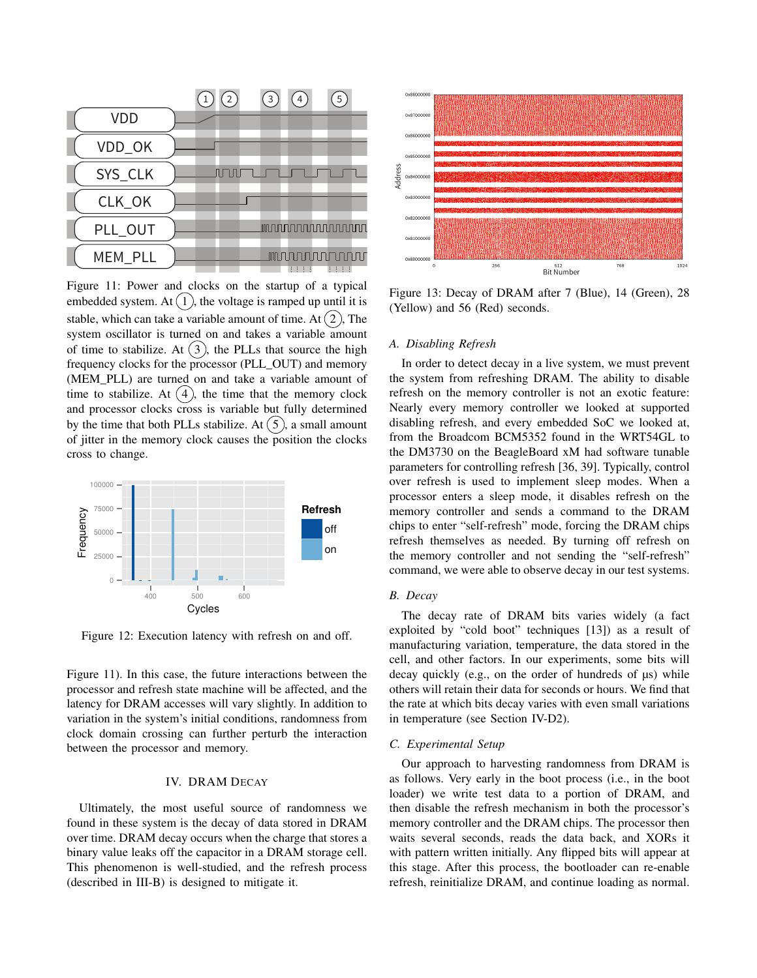<span id="page-10-2"></span>

Figure 11: Power and clocks on the startup of a typical embedded system. At  $(1)$ , the voltage is ramped up until it is stable, which can take a variable amount of time. At  $(2)$ , The system oscillator is turned on and takes a variable amount of time to stabilize. At  $(3)$ , the PLLs that source the high frequency clocks for the processor (PLL\_OUT) and memory (MEM\_PLL) are turned on and take a variable amount of time to stabilize. At  $(4)$ , the time that the memory clock and processor clocks cross is variable but fully determined by the time that both PLLs stabilize. At  $(5)$ , a small amount of jitter in the memory clock causes the position the clocks cross to change.

<span id="page-10-1"></span>

Figure 12: Execution latency with refresh on and off.

Figure [11\)](#page-10-2). In this case, the future interactions between the processor and refresh state machine will be affected, and the latency for DRAM accesses will vary slightly. In addition to variation in the system's initial conditions, randomness from clock domain crossing can further perturb the interaction between the processor and memory.

# IV. DRAM DECAY

<span id="page-10-0"></span>Ultimately, the most useful source of randomness we found in these system is the decay of data stored in DRAM over time. DRAM decay occurs when the charge that stores a binary value leaks off the capacitor in a DRAM storage cell. This phenomenon is well-studied, and the refresh process (described in [III-B\)](#page-9-2) is designed to mitigate it.

<span id="page-10-3"></span>

Figure 13: Decay of DRAM after 7 (Blue), 14 (Green), 28 (Yellow) and 56 (Red) seconds.

# *A. Disabling Refresh*

In order to detect decay in a live system, we must prevent the system from refreshing DRAM. The ability to disable refresh on the memory controller is not an exotic feature: Nearly every memory controller we looked at supported disabling refresh, and every embedded SoC we looked at, from the Broadcom BCM5352 found in the WRT54GL to the DM3730 on the BeagleBoard xM had software tunable parameters for controlling refresh [\[36,](#page-14-28) [39\]](#page-14-31). Typically, control over refresh is used to implement sleep modes. When a processor enters a sleep mode, it disables refresh on the memory controller and sends a command to the DRAM chips to enter "self-refresh" mode, forcing the DRAM chips refresh themselves as needed. By turning off refresh on the memory controller and not sending the "self-refresh" command, we were able to observe decay in our test systems.

# *B. Decay*

The decay rate of DRAM bits varies widely (a fact exploited by "cold boot" techniques [\[13\]](#page-14-23)) as a result of manufacturing variation, temperature, the data stored in the cell, and other factors. In our experiments, some bits will decay quickly (e.g., on the order of hundreds of µs) while others will retain their data for seconds or hours. We find that the rate at which bits decay varies with even small variations in temperature (see Section [IV-D2\)](#page-11-0).

### *C. Experimental Setup*

Our approach to harvesting randomness from DRAM is as follows. Very early in the boot process (i.e., in the boot loader) we write test data to a portion of DRAM, and then disable the refresh mechanism in both the processor's memory controller and the DRAM chips. The processor then waits several seconds, reads the data back, and XORs it with pattern written initially. Any flipped bits will appear at this stage. After this process, the bootloader can re-enable refresh, reinitialize DRAM, and continue loading as normal.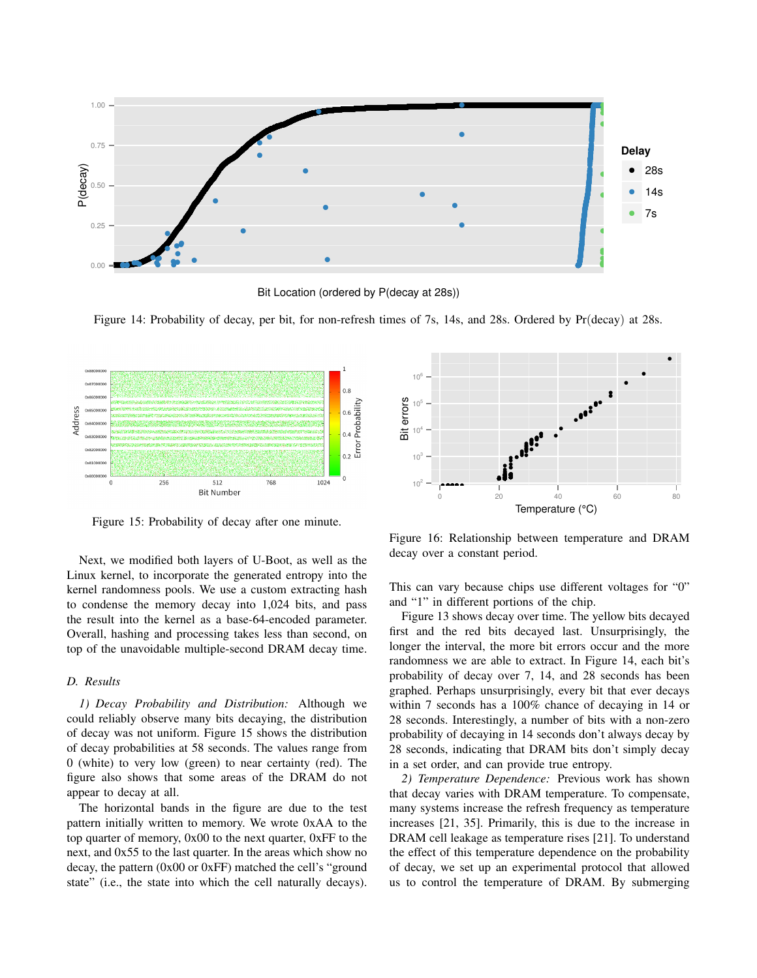<span id="page-11-2"></span>

Bit Location (ordered by P(decay at 28s))

Figure 14: Probability of decay, per bit, for non-refresh times of 7s, 14s, and 28s. Ordered by Pr(decay) at 28s.

<span id="page-11-1"></span>

Figure 15: Probability of decay after one minute.

Next, we modified both layers of U-Boot, as well as the Linux kernel, to incorporate the generated entropy into the kernel randomness pools. We use a custom extracting hash to condense the memory decay into 1,024 bits, and pass the result into the kernel as a base-64-encoded parameter. Overall, hashing and processing takes less than second, on top of the unavoidable multiple-second DRAM decay time.

# *D. Results*

*1) Decay Probability and Distribution:* Although we could reliably observe many bits decaying, the distribution of decay was not uniform. Figure [15](#page-11-1) shows the distribution of decay probabilities at 58 seconds. The values range from 0 (white) to very low (green) to near certainty (red). The figure also shows that some areas of the DRAM do not appear to decay at all.

The horizontal bands in the figure are due to the test pattern initially written to memory. We wrote 0xAA to the top quarter of memory, 0x00 to the next quarter, 0xFF to the next, and 0x55 to the last quarter. In the areas which show no decay, the pattern (0x00 or 0xFF) matched the cell's "ground state" (i.e., the state into which the cell naturally decays).

<span id="page-11-3"></span>

Figure 16: Relationship between temperature and DRAM decay over a constant period.

This can vary because chips use different voltages for "0" and "1" in different portions of the chip.

Figure [13](#page-10-3) shows decay over time. The yellow bits decayed first and the red bits decayed last. Unsurprisingly, the longer the interval, the more bit errors occur and the more randomness we are able to extract. In Figure [14,](#page-11-2) each bit's probability of decay over 7, 14, and 28 seconds has been graphed. Perhaps unsurprisingly, every bit that ever decays within 7 seconds has a 100% chance of decaying in 14 or 28 seconds. Interestingly, a number of bits with a non-zero probability of decaying in 14 seconds don't always decay by 28 seconds, indicating that DRAM bits don't simply decay in a set order, and can provide true entropy.

<span id="page-11-0"></span>*2) Temperature Dependence:* Previous work has shown that decay varies with DRAM temperature. To compensate, many systems increase the refresh frequency as temperature increases [\[21,](#page-14-32) [35\]](#page-14-33). Primarily, this is due to the increase in DRAM cell leakage as temperature rises [\[21\]](#page-14-32). To understand the effect of this temperature dependence on the probability of decay, we set up an experimental protocol that allowed us to control the temperature of DRAM. By submerging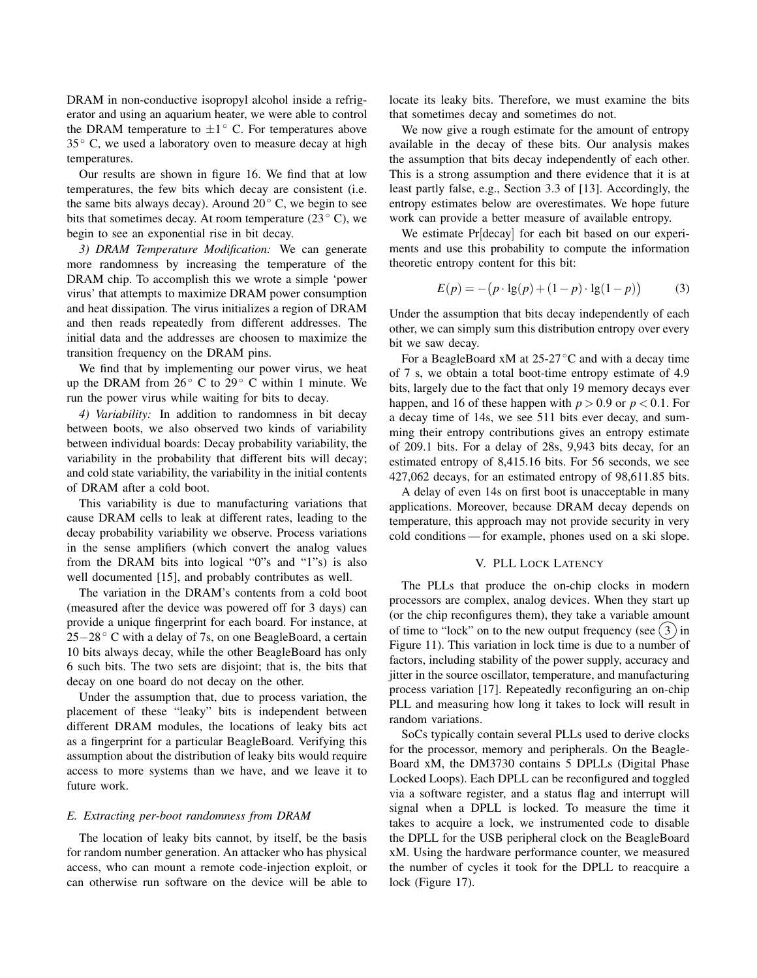DRAM in non-conductive isopropyl alcohol inside a refrigerator and using an aquarium heater, we were able to control the DRAM temperature to  $\pm 1^{\circ}$  C. For temperatures above 35◦ C, we used a laboratory oven to measure decay at high temperatures.

Our results are shown in figure [16.](#page-11-3) We find that at low temperatures, the few bits which decay are consistent (i.e. the same bits always decay). Around  $20°$  C, we begin to see bits that sometimes decay. At room temperature (23 $\degree$  C), we begin to see an exponential rise in bit decay.

*3) DRAM Temperature Modification:* We can generate more randomness by increasing the temperature of the DRAM chip. To accomplish this we wrote a simple 'power virus' that attempts to maximize DRAM power consumption and heat dissipation. The virus initializes a region of DRAM and then reads repeatedly from different addresses. The initial data and the addresses are choosen to maximize the transition frequency on the DRAM pins.

We find that by implementing our power virus, we heat up the DRAM from 26◦ C to 29◦ C within 1 minute. We run the power virus while waiting for bits to decay.

*4) Variability:* In addition to randomness in bit decay between boots, we also observed two kinds of variability between individual boards: Decay probability variability, the variability in the probability that different bits will decay; and cold state variability, the variability in the initial contents of DRAM after a cold boot.

This variability is due to manufacturing variations that cause DRAM cells to leak at different rates, leading to the decay probability variability we observe. Process variations in the sense amplifiers (which convert the analog values from the DRAM bits into logical "0"s and "1"s) is also well documented [\[15\]](#page-14-34), and probably contributes as well.

The variation in the DRAM's contents from a cold boot (measured after the device was powered off for 3 days) can provide a unique fingerprint for each board. For instance, at 25−28◦ C with a delay of 7s, on one BeagleBoard, a certain 10 bits always decay, while the other BeagleBoard has only 6 such bits. The two sets are disjoint; that is, the bits that decay on one board do not decay on the other.

Under the assumption that, due to process variation, the placement of these "leaky" bits is independent between different DRAM modules, the locations of leaky bits act as a fingerprint for a particular BeagleBoard. Verifying this assumption about the distribution of leaky bits would require access to more systems than we have, and we leave it to future work.

### *E. Extracting per-boot randomness from DRAM*

The location of leaky bits cannot, by itself, be the basis for random number generation. An attacker who has physical access, who can mount a remote code-injection exploit, or can otherwise run software on the device will be able to locate its leaky bits. Therefore, we must examine the bits that sometimes decay and sometimes do not.

We now give a rough estimate for the amount of entropy available in the decay of these bits. Our analysis makes the assumption that bits decay independently of each other. This is a strong assumption and there evidence that it is at least partly false, e.g., Section 3.3 of [\[13\]](#page-14-23). Accordingly, the entropy estimates below are overestimates. We hope future work can provide a better measure of available entropy.

We estimate Pr[decay] for each bit based on our experiments and use this probability to compute the information theoretic entropy content for this bit:

$$
E(p) = -(p \cdot \lg(p) + (1 - p) \cdot \lg(1 - p))
$$
 (3)

Under the assumption that bits decay independently of each other, we can simply sum this distribution entropy over every bit we saw decay.

For a BeagleBoard xM at 25-27◦C and with a decay time of 7 s, we obtain a total boot-time entropy estimate of 4.9 bits, largely due to the fact that only 19 memory decays ever happen, and 16 of these happen with  $p > 0.9$  or  $p < 0.1$ . For a decay time of 14s, we see 511 bits ever decay, and summing their entropy contributions gives an entropy estimate of 209.1 bits. For a delay of 28s, 9,943 bits decay, for an estimated entropy of 8,415.16 bits. For 56 seconds, we see 427,062 decays, for an estimated entropy of 98,611.85 bits.

A delay of even 14s on first boot is unacceptable in many applications. Moreover, because DRAM decay depends on temperature, this approach may not provide security in very cold conditions— for example, phones used on a ski slope.

# V. PLL LOCK LATENCY

<span id="page-12-0"></span>The PLLs that produce the on-chip clocks in modern processors are complex, analog devices. When they start up (or the chip reconfigures them), they take a variable amount of time to "lock" on to the new output frequency (see  $(3)$  in Figure [11\)](#page-10-2). This variation in lock time is due to a number of factors, including stability of the power supply, accuracy and jitter in the source oscillator, temperature, and manufacturing process variation [\[17\]](#page-14-35). Repeatedly reconfiguring an on-chip PLL and measuring how long it takes to lock will result in random variations.

SoCs typically contain several PLLs used to derive clocks for the processor, memory and peripherals. On the Beagle-Board xM, the DM3730 contains 5 DPLLs (Digital Phase Locked Loops). Each DPLL can be reconfigured and toggled via a software register, and a status flag and interrupt will signal when a DPLL is locked. To measure the time it takes to acquire a lock, we instrumented code to disable the DPLL for the USB peripheral clock on the BeagleBoard xM. Using the hardware performance counter, we measured the number of cycles it took for the DPLL to reacquire a lock (Figure [17\)](#page-13-5).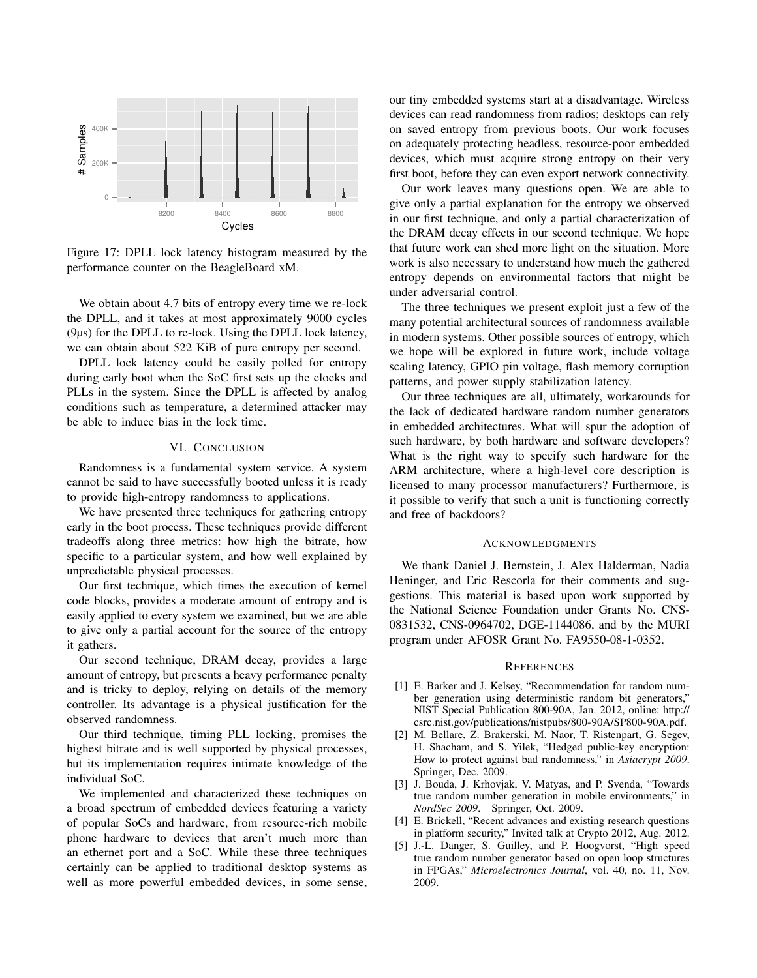<span id="page-13-5"></span>

Figure 17: DPLL lock latency histogram measured by the performance counter on the BeagleBoard xM.

We obtain about 4.7 bits of entropy every time we re-lock the DPLL, and it takes at most approximately 9000 cycles (9µs) for the DPLL to re-lock. Using the DPLL lock latency, we can obtain about 522 KiB of pure entropy per second.

DPLL lock latency could be easily polled for entropy during early boot when the SoC first sets up the clocks and PLLs in the system. Since the DPLL is affected by analog conditions such as temperature, a determined attacker may be able to induce bias in the lock time.

## VI. CONCLUSION

Randomness is a fundamental system service. A system cannot be said to have successfully booted unless it is ready to provide high-entropy randomness to applications.

We have presented three techniques for gathering entropy early in the boot process. These techniques provide different tradeoffs along three metrics: how high the bitrate, how specific to a particular system, and how well explained by unpredictable physical processes.

Our first technique, which times the execution of kernel code blocks, provides a moderate amount of entropy and is easily applied to every system we examined, but we are able to give only a partial account for the source of the entropy it gathers.

Our second technique, DRAM decay, provides a large amount of entropy, but presents a heavy performance penalty and is tricky to deploy, relying on details of the memory controller. Its advantage is a physical justification for the observed randomness.

Our third technique, timing PLL locking, promises the highest bitrate and is well supported by physical processes, but its implementation requires intimate knowledge of the individual SoC.

We implemented and characterized these techniques on a broad spectrum of embedded devices featuring a variety of popular SoCs and hardware, from resource-rich mobile phone hardware to devices that aren't much more than an ethernet port and a SoC. While these three techniques certainly can be applied to traditional desktop systems as well as more powerful embedded devices, in some sense, our tiny embedded systems start at a disadvantage. Wireless devices can read randomness from radios; desktops can rely on saved entropy from previous boots. Our work focuses on adequately protecting headless, resource-poor embedded devices, which must acquire strong entropy on their very first boot, before they can even export network connectivity.

Our work leaves many questions open. We are able to give only a partial explanation for the entropy we observed in our first technique, and only a partial characterization of the DRAM decay effects in our second technique. We hope that future work can shed more light on the situation. More work is also necessary to understand how much the gathered entropy depends on environmental factors that might be under adversarial control.

The three techniques we present exploit just a few of the many potential architectural sources of randomness available in modern systems. Other possible sources of entropy, which we hope will be explored in future work, include voltage scaling latency, GPIO pin voltage, flash memory corruption patterns, and power supply stabilization latency.

Our three techniques are all, ultimately, workarounds for the lack of dedicated hardware random number generators in embedded architectures. What will spur the adoption of such hardware, by both hardware and software developers? What is the right way to specify such hardware for the ARM architecture, where a high-level core description is licensed to many processor manufacturers? Furthermore, is it possible to verify that such a unit is functioning correctly and free of backdoors?

### ACKNOWLEDGMENTS

We thank Daniel J. Bernstein, J. Alex Halderman, Nadia Heninger, and Eric Rescorla for their comments and suggestions. This material is based upon work supported by the National Science Foundation under Grants No. CNS-0831532, CNS-0964702, DGE-1144086, and by the MURI program under AFOSR Grant No. FA9550-08-1-0352.

### **REFERENCES**

- <span id="page-13-1"></span>[1] E. Barker and J. Kelsey, "Recommendation for random number generation using deterministic random bit generators," NIST Special Publication 800-90A, Jan. 2012, online: [http://](http://csrc.nist.gov/publications/nistpubs/800-90A/SP800-90A.pdf) csrc.nist.[gov/publications/nistpubs/800-90A/SP800-90A](http://csrc.nist.gov/publications/nistpubs/800-90A/SP800-90A.pdf).pdf.
- <span id="page-13-0"></span>[2] M. Bellare, Z. Brakerski, M. Naor, T. Ristenpart, G. Segev, H. Shacham, and S. Yilek, "Hedged public-key encryption: How to protect against bad randomness," in *Asiacrypt 2009*. Springer, Dec. 2009.
- <span id="page-13-3"></span>[3] J. Bouda, J. Krhovjak, V. Matyas, and P. Svenda, "Towards true random number generation in mobile environments," in *NordSec 2009*. Springer, Oct. 2009.
- <span id="page-13-2"></span>[4] E. Brickell, "Recent advances and existing research questions in platform security," Invited talk at Crypto 2012, Aug. 2012.
- <span id="page-13-4"></span>[5] J.-L. Danger, S. Guilley, and P. Hoogvorst, "High speed true random number generator based on open loop structures in FPGAs," *Microelectronics Journal*, vol. 40, no. 11, Nov. 2009.